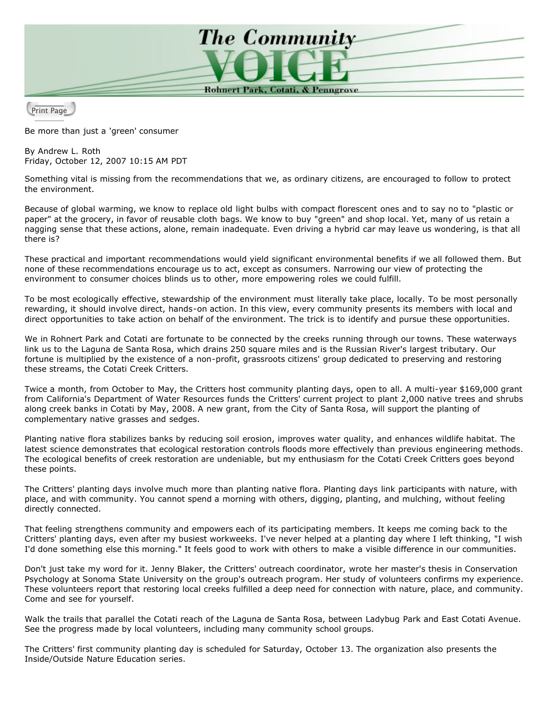

Print Page

Be more than just a 'green' consumer

By Andrew L. Roth Friday, October 12, 2007 10:15 AM PDT

Something vital is missing from the recommendations that we, as ordinary citizens, are encouraged to follow to protect the environment.

Because of global warming, we know to replace old light bulbs with compact florescent ones and to say no to "plastic or paper" at the grocery, in favor of reusable cloth bags. We know to buy "green" and shop local. Yet, many of us retain a nagging sense that these actions, alone, remain inadequate. Even driving a hybrid car may leave us wondering, is that all there is?

These practical and important recommendations would yield significant environmental benefits if we all followed them. But none of these recommendations encourage us to act, except as consumers. Narrowing our view of protecting the environment to consumer choices blinds us to other, more empowering roles we could fulfill.

To be most ecologically effective, stewardship of the environment must literally take place, locally. To be most personally rewarding, it should involve direct, hands-on action. In this view, every community presents its members with local and direct opportunities to take action on behalf of the environment. The trick is to identify and pursue these opportunities.

We in Rohnert Park and Cotati are fortunate to be connected by the creeks running through our towns. These waterways link us to the Laguna de Santa Rosa, which drains 250 square miles and is the Russian River's largest tributary. Our fortune is multiplied by the existence of a non-profit, grassroots citizens' group dedicated to preserving and restoring these streams, the Cotati Creek Critters.

Twice a month, from October to May, the Critters host community planting days, open to all. A multi-year \$169,000 grant from California's Department of Water Resources funds the Critters' current project to plant 2,000 native trees and shrubs along creek banks in Cotati by May, 2008. A new grant, from the City of Santa Rosa, will support the planting of complementary native grasses and sedges.

Planting native flora stabilizes banks by reducing soil erosion, improves water quality, and enhances wildlife habitat. The latest science demonstrates that ecological restoration controls floods more effectively than previous engineering methods. The ecological benefits of creek restoration are undeniable, but my enthusiasm for the Cotati Creek Critters goes beyond these points.

The Critters' planting days involve much more than planting native flora. Planting days link participants with nature, with place, and with community. You cannot spend a morning with others, digging, planting, and mulching, without feeling directly connected.

That feeling strengthens community and empowers each of its participating members. It keeps me coming back to the Critters' planting days, even after my busiest workweeks. I've never helped at a planting day where I left thinking, "I wish I'd done something else this morning." It feels good to work with others to make a visible difference in our communities.

Don't just take my word for it. Jenny Blaker, the Critters' outreach coordinator, wrote her master's thesis in Conservation Psychology at Sonoma State University on the group's outreach program. Her study of volunteers confirms my experience. These volunteers report that restoring local creeks fulfilled a deep need for connection with nature, place, and community. Come and see for yourself.

Walk the trails that parallel the Cotati reach of the Laguna de Santa Rosa, between Ladybug Park and East Cotati Avenue. See the progress made by local volunteers, including many community school groups.

The Critters' first community planting day is scheduled for Saturday, October 13. The organization also presents the Inside/Outside Nature Education series.